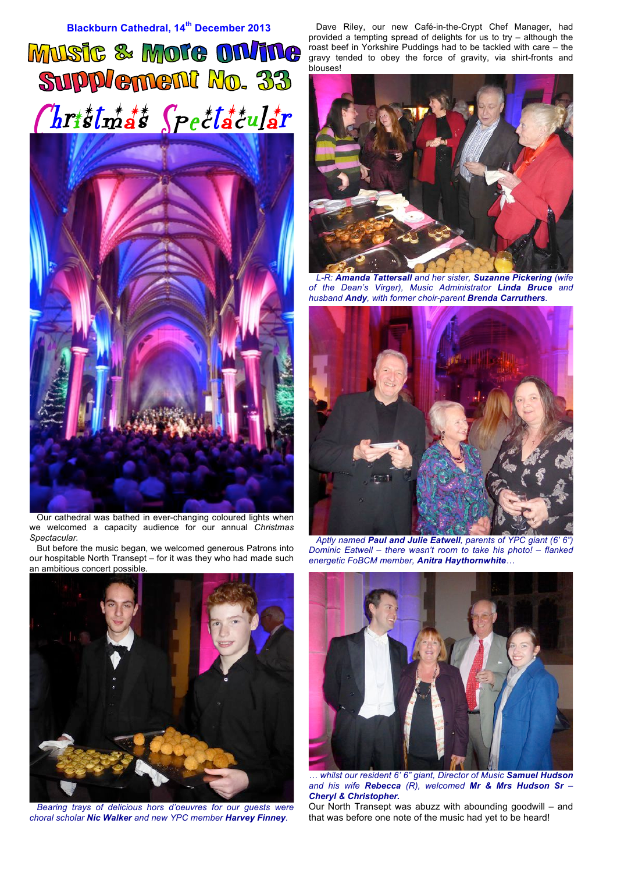

 Our cathedral was bathed in ever-changing coloured lights when we welcomed a capacity audience for our annual *Christmas Spectacular.*

But before the music began, we welcomed generous Patrons into our hospitable North Transept – for it was they who had made such an ambitious concert possible.



*Bearing trays of delicious hors d'oeuvres for our guests were choral scholar Nic Walker and new YPC member Harvey Finney.*

Dave Riley, our new Café-in-the-Crypt Chef Manager, had provided a tempting spread of delights for us to try – although the roast beef in Yorkshire Puddings had to be tackled with care – the gravy tended to obey the force of gravity, via shirt-fronts and blouses!



*L-R: Amanda Tattersall and her sister, Suzanne Pickering (wife of the Dean's Virger), Music Administrator Linda Bruce and husband Andy, with former choir-parent Brenda Carruthers.*



*Aptly named Paul and Julie Eatwell, parents of YPC giant (6' 6") Dominic Eatwell – there wasn't room to take his photo! – flanked energetic FoBCM member, Anitra Haythornwhite…*



*… whilst our resident 6' 6" giant, Director of Music Samuel Hudson and his wife Rebecca (R), welcomed Mr & Mrs Hudson Sr – Cheryl & Christopher.*

Our North Transept was abuzz with abounding goodwill – and that was before one note of the music had yet to be heard!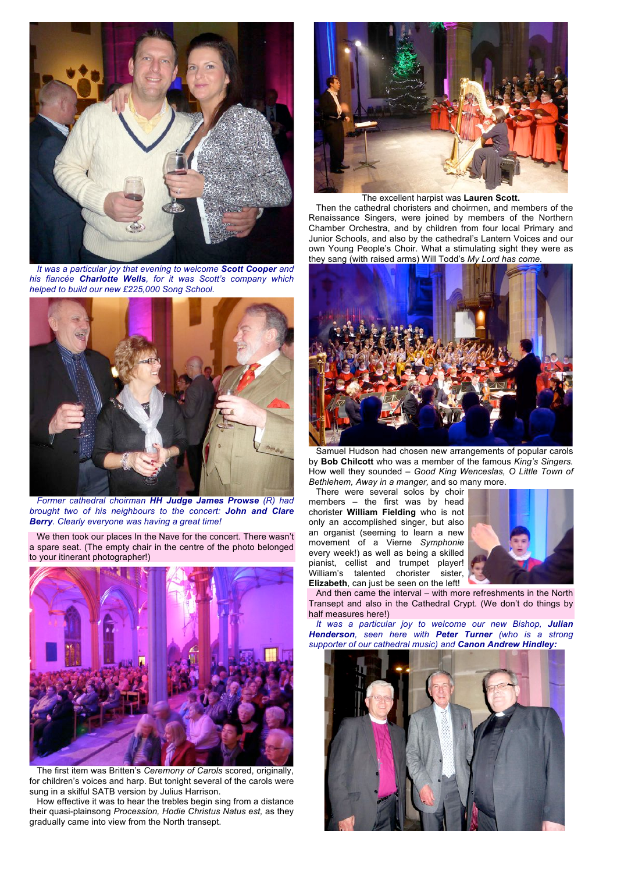

*It was a particular joy that evening to welcome Scott Cooper and his fiancée Charlotte Wells, for it was Scott's company which helped to build our new £225,000 Song School.*



*Former cathedral choirman HH Judge James Prowse (R) had brought two of his neighbours to the concert: John and Clare Berry. Clearly everyone was having a great time!*

We then took our places In the Nave for the concert. There wasn't a spare seat. (The empty chair in the centre of the photo belonged to your itinerant photographer!)



The first item was Britten's *Ceremony of Carols* scored, originally, for children's voices and harp. But tonight several of the carols were sung in a skilful SATB version by Julius Harrison.

How effective it was to hear the trebles begin sing from a distance their quasi-plainsong *Procession, Hodie Christus Natus est,* as they gradually came into view from the North transept.



## The excellent harpist was **Lauren Scott.**

Then the cathedral choristers and choirmen, and members of the Renaissance Singers, were joined by members of the Northern Chamber Orchestra, and by children from four local Primary and Junior Schools, and also by the cathedral's Lantern Voices and our own Young People's Choir. What a stimulating sight they were as they sang (with raised arms) Will Todd's *My Lord has come.*



Samuel Hudson had chosen new arrangements of popular carols by **Bob Chilcott** who was a member of the famous *King's Singers.* How well they sounded – *Good King Wenceslas, O Little Town of Bethlehem, Away in a manger,* and so many more.

There were several solos by choir members – the first was by head chorister **William Fielding** who is not only an accomplished singer, but also an organist (seeming to learn a new movement of a Vierne *Symphonie* every week!) as well as being a skilled pianist, cellist and trumpet player! William's talented chorister sister, **Elizabeth**, can just be seen on the left!



And then came the interval – with more refreshments in the North Transept and also in the Cathedral Crypt. (We don't do things by half measures here!)

*It was a particular joy to welcome our new Bishop, Julian Henderson, seen here with Peter Turner (who is a strong supporter of our cathedral music) and Canon Andrew Hindley:*